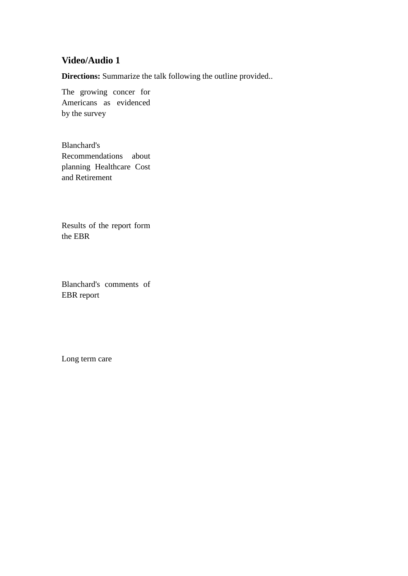## **Video/Audio 1**

**Directions:** Summarize the talk following the outline provided..

The growing concer for Americans as evidenced by the survey

Blanchard's Recommendations about planning Healthcare Cost and Retirement

Results of the report form the EBR

Blanchard's comments of EBR report

Long term care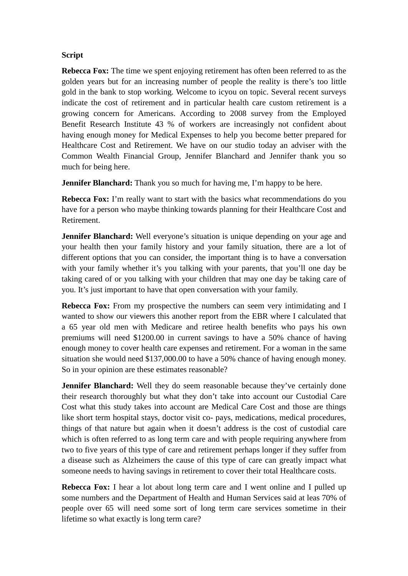## **Script**

**Rebecca Fox:** The time we spent enjoying retirement has often been referred to as the golden years but for an increasing number of people the reality is there's too little gold in the bank to stop working. Welcome to icyou on topic. Several recent surveys indicate the cost of retirement and in particular health care custom retirement is a growing concern for Americans. According to 2008 survey from the Employed Benefit Research Institute 43 % of workers are increasingly not confident about having enough money for Medical Expenses to help you become better prepared for Healthcare Cost and Retirement. We have on our studio today an adviser with the Common Wealth Financial Group, Jennifer Blanchard and Jennifer thank you so much for being here.

**Jennifer Blanchard:** Thank you so much for having me, I'm happy to be here.

**Rebecca Fox:** I'm really want to start with the basics what recommendations do you have for a person who maybe thinking towards planning for their Healthcare Cost and Retirement.

**Jennifer Blanchard:** Well everyone's situation is unique depending on your age and your health then your family history and your family situation, there are a lot of different options that you can consider, the important thing is to have a conversation with your family whether it's you talking with your parents, that you'll one day be taking cared of or you talking with your children that may one day be taking care of you. It's just important to have that open conversation with your family.

**Rebecca Fox:** From my prospective the numbers can seem very intimidating and I wanted to show our viewers this another report from the EBR where I calculated that a 65 year old men with Medicare and retiree health benefits who pays his own premiums will need \$1200.00 in current savings to have a 50% chance of having enough money to cover health care expenses and retirement. For a woman in the same situation she would need \$137,000.00 to have a 50% chance of having enough money. So in your opinion are these estimates reasonable?

**Jennifer Blanchard:** Well they do seem reasonable because they've certainly done their research thoroughly but what they don't take into account our Custodial Care Cost what this study takes into account are Medical Care Cost and those are things like short term hospital stays, doctor visit co- pays, medications, medical procedures, things of that nature but again when it doesn't address is the cost of custodial care which is often referred to as long term care and with people requiring anywhere from two to five years of this type of care and retirement perhaps longer if they suffer from a disease such as Alzheimers the cause of this type of care can greatly impact what someone needs to having savings in retirement to cover their total Healthcare costs.

**Rebecca Fox:** I hear a lot about long term care and I went online and I pulled up some numbers and the Department of Health and Human Services said at leas 70% of people over 65 will need some sort of long term care services sometime in their lifetime so what exactly is long term care?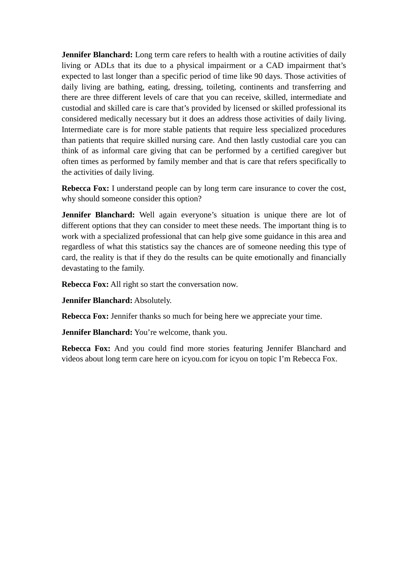**Jennifer Blanchard:** Long term care refers to health with a routine activities of daily living or ADLs that its due to a physical impairment or a CAD impairment that's expected to last longer than a specific period of time like 90 days. Those activities of daily living are bathing, eating, dressing, toileting, continents and transferring and there are three different levels of care that you can receive, skilled, intermediate and custodial and skilled care is care that's provided by licensed or skilled professional its considered medically necessary but it does an address those activities of daily living. Intermediate care is for more stable patients that require less specialized procedures than patients that require skilled nursing care. And then lastly custodial care you can think of as informal care giving that can be performed by a certified caregiver but often times as performed by family member and that is care that refers specifically to the activities of daily living.

**Rebecca Fox:** I understand people can by long term care insurance to cover the cost, why should someone consider this option?

**Jennifer Blanchard:** Well again everyone's situation is unique there are lot of different options that they can consider to meet these needs. The important thing is to work with a specialized professional that can help give some guidance in this area and regardless of what this statistics say the chances are of someone needing this type of card, the reality is that if they do the results can be quite emotionally and financially devastating to the family.

**Rebecca Fox:** All right so start the conversation now.

**Jennifer Blanchard:** Absolutely.

**Rebecca Fox:** Jennifer thanks so much for being here we appreciate your time.

**Jennifer Blanchard:** You're welcome, thank you.

**Rebecca Fox:** And you could find more stories featuring Jennifer Blanchard and videos about long term care here on icyou.com for icyou on topic I'm Rebecca Fox.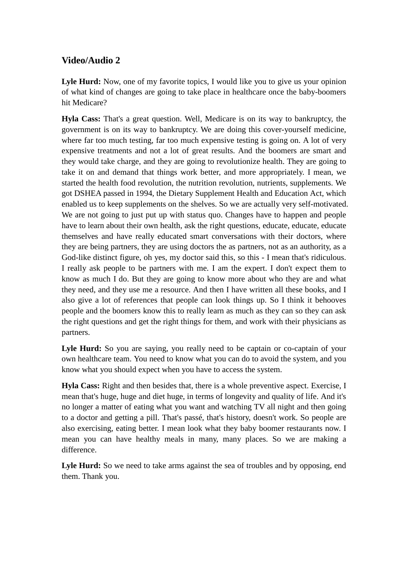## **Video/Audio 2**

Lyle Hurd: Now, one of my favorite topics, I would like you to give us your opinion of what kind of changes are going to take place in healthcare once the baby-boomers hit Medicare?

**Hyla Cass:** That's a great question. Well, Medicare is on its way to bankruptcy, the government is on its way to bankruptcy. We are doing this cover-yourself medicine, where far too much testing, far too much expensive testing is going on. A lot of very expensive treatments and not a lot of great results. And the boomers are smart and they would take charge, and they are going to revolutionize health. They are going to take it on and demand that things work better, and more appropriately. I mean, we started the health food revolution, the nutrition revolution, nutrients, supplements. We got DSHEA passed in 1994, the Dietary Supplement Health and Education Act, which enabled us to keep supplements on the shelves. So we are actually very self-motivated. We are not going to just put up with status quo. Changes have to happen and people have to learn about their own health, ask the right questions, educate, educate, educate themselves and have really educated smart conversations with their doctors, where they are being partners, they are using doctors the as partners, not as an authority, as a God-like distinct figure, oh yes, my doctor said this, so this - I mean that's ridiculous. I really ask people to be partners with me. I am the expert. I don't expect them to know as much I do. But they are going to know more about who they are and what they need, and they use me a resource. And then I have written all these books, and I also give a lot of references that people can look things up. So I think it behooves people and the boomers know this to really learn as much as they can so they can ask the right questions and get the right things for them, and work with their physicians as partners.

Lyle Hurd: So you are saying, you really need to be captain or co-captain of your own healthcare team. You need to know what you can do to avoid the system, and you know what you should expect when you have to access the system.

**Hyla Cass:** Right and then besides that, there is a whole preventive aspect. Exercise, I mean that's huge, huge and diet huge, in terms of longevity and quality of life. And it's no longer a matter of eating what you want and watching TV all night and then going to a doctor and getting a pill. That's passé, that's history, doesn't work. So people are also exercising, eating better. I mean look what they baby boomer restaurants now. I mean you can have healthy meals in many, many places. So we are making a difference.

Lyle Hurd: So we need to take arms against the sea of troubles and by opposing, end them. Thank you.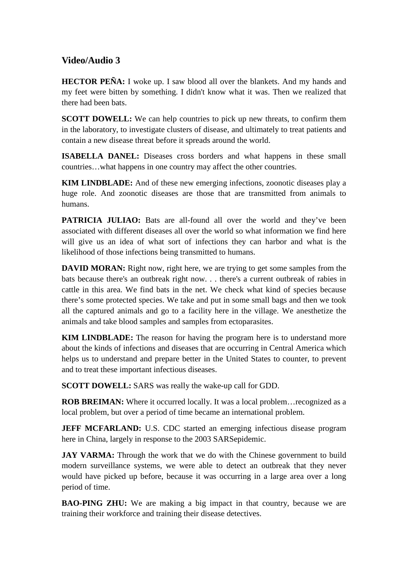## **Video/Audio 3**

**HECTOR PEÑA:** I woke up. I saw blood all over the blankets. And my hands and my feet were bitten by something. I didn't know what it was. Then we realized that there had been bats.

**SCOTT DOWELL:** We can help countries to pick up new threats, to confirm them in the laboratory, to investigate clusters of disease, and ultimately to treat patients and contain a new disease threat before it spreads around the world.

**ISABELLA DANEL:** Diseases cross borders and what happens in these small countries…what happens in one country may affect the other countries.

**KIM LINDBLADE:** And of these new emerging infections, zoonotic diseases play a huge role. And zoonotic diseases are those that are transmitted from animals to humans.

**PATRICIA JULIAO:** Bats are all-found all over the world and they've been associated with different diseases all over the world so what information we find here will give us an idea of what sort of infections they can harbor and what is the likelihood of those infections being transmitted to humans.

**DAVID MORAN:** Right now, right here, we are trying to get some samples from the bats because there's an outbreak right now. . . there's a current outbreak of rabies in cattle in this area. We find bats in the net. We check what kind of species because there's some protected species. We take and put in some small bags and then we took all the captured animals and go to a facility here in the village. We anesthetize the animals and take blood samples and samples from ectoparasites.

**KIM LINDBLADE:** The reason for having the program here is to understand more about the kinds of infections and diseases that are occurring in Central America which helps us to understand and prepare better in the United States to counter, to prevent and to treat these important infectious diseases.

**SCOTT DOWELL:** SARS was really the wake-up call for GDD.

**ROB BREIMAN:** Where it occurred locally. It was a local problem... recognized as a local problem, but over a period of time became an international problem.

**JEFF MCFARLAND:** U.S. CDC started an emerging infectious disease program here in China, largely in response to the 2003 SARSepidemic.

**JAY VARMA:** Through the work that we do with the Chinese government to build modern surveillance systems, we were able to detect an outbreak that they never would have picked up before, because it was occurring in a large area over a long period of time.

**BAO-PING ZHU:** We are making a big impact in that country, because we are training their workforce and training their disease detectives.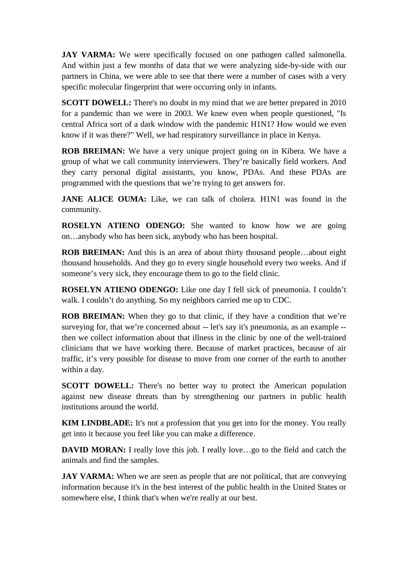**JAY VARMA:** We were specifically focused on one pathogen called salmonella. And within just a few months of data that we were analyzing side-by-side with our partners in China, we were able to see that there were a number of cases with a very specific molecular fingerprint that were occurring only in infants.

**SCOTT DOWELL:** There's no doubt in my mind that we are better prepared in 2010 for a pandemic than we were in 2003. We knew even when people questioned, "Is central Africa sort of a dark window with the pandemic H1N1? How would we even know if it was there?" Well, we had respiratory surveillance in place in Kenya.

**ROB BREIMAN:** We have a very unique project going on in Kibera. We have a group of what we call community interviewers. They're basically field workers. And they carry personal digital assistants, you know, PDAs. And these PDAs are programmed with the questions that we're trying to get answers for.

**JANE ALICE OUMA:** Like, we can talk of cholera. H1N1 was found in the community.

**ROSELYN ATIENO ODENGO:** She wanted to know how we are going on…anybody who has been sick, anybody who has been hospital.

**ROB BREIMAN:** And this is an area of about thirty thousand people…about eight thousand households. And they go to every single household every two weeks. And if someone's very sick, they encourage them to go to the field clinic.

**ROSELYN ATIENO ODENGO:** Like one day I fell sick of pneumonia. I couldn't walk. I couldn't do anything. So my neighbors carried me up to CDC.

**ROB BREIMAN:** When they go to that clinic, if they have a condition that we're surveying for, that we're concerned about -- let's say it's pneumonia, as an example - then we collect information about that illness in the clinic by one of the well-trained clinicians that we have working there. Because of market practices, because of air traffic, it's very possible for disease to move from one corner of the earth to another within a day.

**SCOTT DOWELL:** There's no better way to protect the American population against new disease threats than by strengthening our partners in public health institutions around the world.

**KIM LINDBLADE:** It's not a profession that you get into for the money. You really get into it because you feel like you can make a difference.

**DAVID MORAN:** I really love this job. I really love...go to the field and catch the animals and find the samples.

**JAY VARMA:** When we are seen as people that are not political, that are conveying information because it's in the best interest of the public health in the United States or somewhere else, I think that's when we're really at our best.